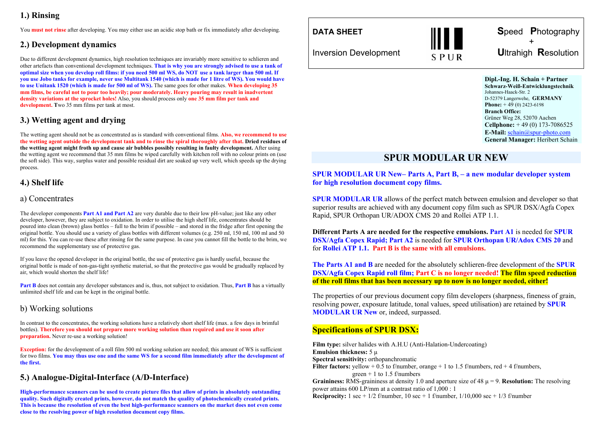# **1.) Rinsing**

You **must not rinse** after developing. You may either use an acidic stop bath or fix immediately after developing.

### **2.) Development dynamics**

Due to different development dynamics, high resolution techniques are invariably more sensitive to schlieren and other artefacts than conventional development techniques. **That is why you are strongly advised to use a tank of optimal size when you develop roll films: if you need 500 ml WS, do NOT use a tank larger than 500 ml. If you use Jobo tanks for example, never use Multitank 1540 (which is made for 1 litre of WS). You would have to use Unitank 1520 (which is made for 500 ml of WS).** The same goes for other makes. **When developing 35 mm films, be careful not to pour too heavily; pour moderately. Heavy pouring may result in inadvertent density variations at the sprocket holes!** Also, you should process only **one 35 mm film per tank and development. T**wo 35 mm films per tank at most.

# **3.) Wetting agent and drying**

The wetting agent should not be as concentrated as is standard with conventional films. **Also, we recommend to use the wetting agent outside the development tank and to rinse the spiral thoroughly after that. Dried residues of the wetting agent might froth up and cause air bubbles possibly resulting in faulty development.** After using the wetting agent we recommend that 35 mm films be wiped carefully with kitchen roll with no colour prints on (use the soft side). This way, surplus water and possible residual dirt are soaked up very well, which speeds up the drying process.

# **4.) Shelf life**

### a) Concentrates

The developer components **Part A1 and Part A2** are very durable due to their low pH-value; just like any other developer, however, they are subject to oxidation. In order to utilise the high shelf life, concentrates should be poured into clean (brown) glass bottles – full to the brim if possible – and stored in the fridge after first opening the original bottle. You should use a variety of glass bottles with different volumes (e.g. 250 ml, 150 ml, 100 ml and 50 ml) for this. You can re-use these after rinsing for the same purpose. In case you cannot fill the bottle to the brim, we recommend the supplementary use of protective gas.

If you leave the opened developer in the original bottle, the use of protective gas is hardly useful, because the original bottle is made of non-gas-tight synthetic material, so that the protective gas would be gradually replaced by air, which would shorten the shelf life!

**Part B** does not contain any developer substances and is, thus, not subject to oxidation. Thus, **Part B** has a virtually unlimited shelf life and can be kept in the original bottle.

### b) Working solutions

In contrast to the concentrates, the working solutions have a relatively short shelf life (max. a few days in brimful bottles). **Therefore you should not prepare more working solution than required and use it soon after preparation.** Never re-use a working solution!

**Exception:** for the development of a roll film 500 ml working solution are needed; this amount of WS is sufficient for two films. **You may thus use one and the same WS for a second film immediately after the development of the first.** 

# **5.) Analogue-Digital-Interface (A/D-Interface)**

**High-performance scanners can be used to create picture files that allow of prints in absolutely outstanding quality. Such digitally created prints, however, do not match the quality of photochemically created prints. This is because the resolution of even the best high-performance scanners on the market does not even come close to the resolving power of high resolution document copy films.** 

**DATA SHEET**



 **S**peed **P**hotography  $+$  +  $+$ Inversion Development **U**ltrahigh **R**esolution

> **Dipl.-Ing. H. Schain + Partner Schwarz-Weiß-Entwicklungstechnik**  Johannes-Haack-Str. 2 D-52379 Langerwehe, **GERMANY Phone:** + 49 (0) 2423-6198 **Branch Office:** Grüner Weg 28, 52070 Aachen **Cellphone:** + 49 (0) 173-7086525 **E-Mail:** schain@spur-photo.com **General Manager:** Heribert Schain

# **SPUR MODULAR UR NEW**

#### **SPUR MODULAR UR New– Parts A, Part B, – a new modular developer system for high resolution document copy films.**

**SPUR MODULAR UR** allows of the perfect match between emulsion and developer so that superior results are achieved with any document copy film such as SPUR DSX/Agfa Copex Rapid, SPUR Orthopan UR/ADOX CMS 20 and Rollei ATP 1.1.

**Different Parts A are needed for the respective emulsions. Part A1** is needed for **SPUR DSX/Agfa Copex Rapid; Part A2** is needed for **SPUR Orthopan UR/Adox CMS 20** and for **Rollei ATP 1.1. Part B is the same with all emulsions.** 

**The Parts A1 and B** are needed for the absolutely schlieren-free development of the **SPUR DSX/Agfa Copex Rapid roll film; Part C is no longer needed! The film speed reduction of the roll films that has been necessary up to now is no longer needed, either!** 

The properties of our previous document copy film developers (sharpness, fineness of grain, resolving power, exposure latitude, tonal values, speed utilisation) are retained by **SPUR MODULAR UR New** or, indeed, surpassed.

### **Specifications of SPUR DSX:**

**Film type:** silver halides with A.H.U (Anti-Halation-Undercoating) **Emulsion thickness:** 5 µ **Spectral sensitivity:** orthopanchromatic Filter factors: yellow + 0.5 to f/number, orange + 1 to 1.5 f/numbers, red + 4 f/numbers, green  $+$  1 to 1.5 f/numbers **Graininess:** RMS-graininess at density 1.0 and aperture size of 48  $\mu$  = 9. **Resolution:** The resolving power attains 600 LP/mm at a contrast ratio of 1,000 : 1

**Reciprocity:**  $1 \sec + \frac{1}{2}$  f/number,  $10 \sec + 1$  f/number,  $\frac{1}{10,000} \sec + \frac{1}{3}$  f/number